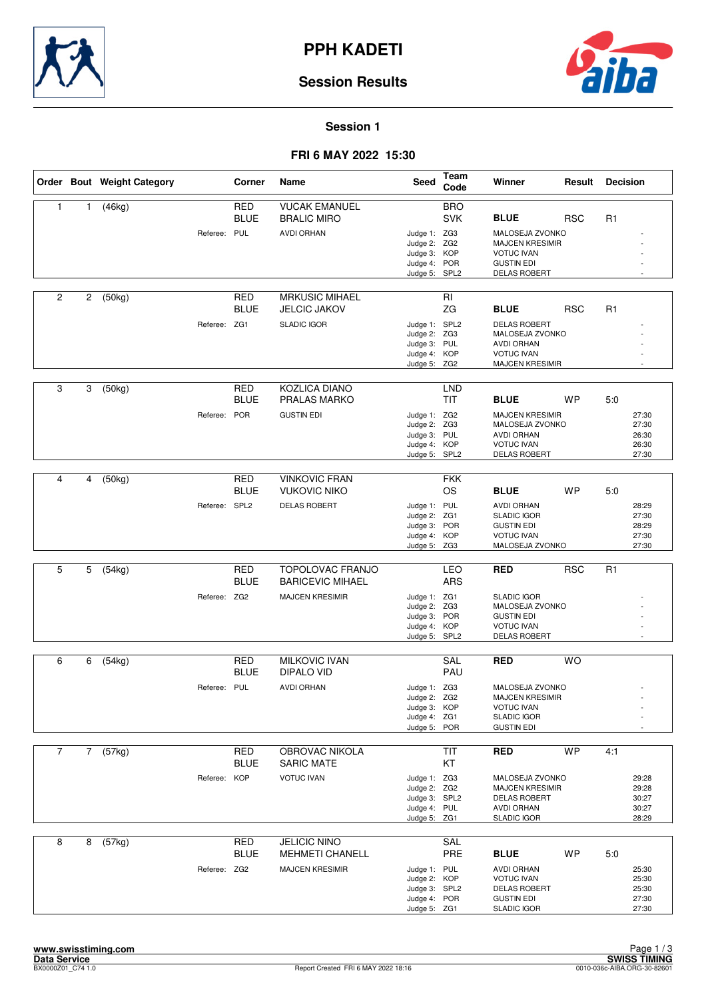



### **Session 1**

### **FRI 6 MAY 2022 15:30**

|                |             | Order Bout Weight Category |               | Corner                    | Name                                         | <b>Seed</b>                                                                   | <b>Team</b><br>Code      | Winner                                                                                                     | Result     | <b>Decision</b>                           |
|----------------|-------------|----------------------------|---------------|---------------------------|----------------------------------------------|-------------------------------------------------------------------------------|--------------------------|------------------------------------------------------------------------------------------------------------|------------|-------------------------------------------|
| 1              | 1           | (46kg)                     |               | <b>RED</b><br><b>BLUE</b> | <b>VUCAK EMANUEL</b><br><b>BRALIC MIRO</b>   |                                                                               | <b>BRO</b><br><b>SVK</b> | <b>BLUE</b>                                                                                                | <b>RSC</b> | R <sub>1</sub>                            |
|                |             |                            | Referee: PUL  |                           | <b>AVDI ORHAN</b>                            | Judge 1: ZG3<br>Judge 2: ZG2<br>Judge 3: KOP<br>Judge 4: POR<br>Judge 5: SPL2 |                          | MALOSEJA ZVONKO<br><b>MAJCEN KRESIMIR</b><br><b>VOTUC IVAN</b><br><b>GUSTIN EDI</b><br><b>DELAS ROBERT</b> |            |                                           |
| 2              | 2           | (50kg)                     |               | <b>RED</b><br><b>BLUE</b> | <b>MRKUSIC MIHAEL</b><br><b>JELCIC JAKOV</b> |                                                                               | RI<br>ZG                 | <b>BLUE</b>                                                                                                | <b>RSC</b> | R <sub>1</sub>                            |
|                |             |                            | Referee: ZG1  |                           | <b>SLADIC IGOR</b>                           | Judge 1: SPL2<br>Judge 2: ZG3<br>Judge 3: PUL<br>Judge 4: KOP<br>Judge 5: ZG2 |                          | <b>DELAS ROBERT</b><br>MALOSEJA ZVONKO<br><b>AVDI ORHAN</b><br><b>VOTUC IVAN</b><br><b>MAJCEN KRESIMIR</b> |            |                                           |
| 3              | 3           | (50kg)                     |               | <b>RED</b><br><b>BLUE</b> | KOZLICA DIANO<br><b>PRALAS MARKO</b>         |                                                                               | <b>LND</b><br><b>TIT</b> | <b>BLUE</b>                                                                                                | <b>WP</b>  | 5:0                                       |
|                |             |                            | Referee:      | POR                       | <b>GUSTIN EDI</b>                            | Judge 1: ZG2<br>Judge 2: ZG3<br>Judge 3: PUL<br>Judge 4: KOP<br>Judge 5: SPL2 |                          | <b>MAJCEN KRESIMIR</b><br>MALOSEJA ZVONKO<br><b>AVDI ORHAN</b><br><b>VOTUC IVAN</b><br>DELAS ROBERT        |            | 27:30<br>27:30<br>26:30<br>26:30<br>27:30 |
|                |             |                            |               |                           |                                              |                                                                               |                          |                                                                                                            |            |                                           |
| 4              | 4           | (50kg)                     |               | <b>RED</b><br><b>BLUE</b> | <b>VINKOVIC FRAN</b><br><b>VUKOVIC NIKO</b>  |                                                                               | <b>FKK</b><br><b>OS</b>  | <b>BLUE</b>                                                                                                | <b>WP</b>  | 5:0                                       |
|                |             |                            | Referee: SPL2 |                           | <b>DELAS ROBERT</b>                          | Judge 1: PUL<br>Judge 2: ZG1<br>Judge 3: POR<br>Judge 4: KOP<br>Judge 5: ZG3  |                          | <b>AVDI ORHAN</b><br><b>SLADIC IGOR</b><br><b>GUSTIN EDI</b><br><b>VOTUC IVAN</b><br>MALOSEJA ZVONKO       |            | 28:29<br>27:30<br>28:29<br>27:30<br>27:30 |
|                |             |                            |               |                           |                                              |                                                                               |                          |                                                                                                            |            |                                           |
| 5              | 5           | $\overline{(}54kg)$        |               | <b>RED</b><br><b>BLUE</b> | TOPOLOVAC FRANJO<br><b>BARICEVIC MIHAEL</b>  |                                                                               | LEO<br><b>ARS</b>        | <b>RED</b>                                                                                                 | <b>RSC</b> | R <sub>1</sub>                            |
|                |             |                            | Referee: ZG2  |                           | <b>MAJCEN KRESIMIR</b>                       | Judge 1: ZG1<br>Judge 2: ZG3<br>Judge 3: POR<br>Judge 4: KOP<br>Judge 5: SPL2 |                          | <b>SLADIC IGOR</b><br>MALOSEJA ZVONKO<br><b>GUSTIN EDI</b><br><b>VOTUC IVAN</b><br><b>DELAS ROBERT</b>     |            |                                           |
| 6              | 6           | (54kg)                     |               | <b>RED</b>                | <b>MILKOVIC IVAN</b>                         |                                                                               | SAL                      | <b>RED</b>                                                                                                 | <b>WO</b>  |                                           |
|                |             |                            |               | <b>BLUE</b>               | DIPALO VID                                   |                                                                               | PAU                      |                                                                                                            |            |                                           |
|                |             |                            | Referee: PUL  |                           | <b>AVDI ORHAN</b>                            | Judge 1: ZG3<br>Judge 2: ZG2<br>Judge 3: KOP<br>Judge 4: ZG1<br>Judge 5: POR  |                          | MALOSEJA ZVONKO<br><b>MAJCEN KRESIMIR</b><br><b>VOTUC IVAN</b><br><b>SLADIC IGOR</b><br><b>GUSTIN EDI</b>  |            | ٠                                         |
| $\overline{7}$ |             |                            |               |                           | OBROVAC NIKOLA                               |                                                                               |                          | <b>RED</b>                                                                                                 | <b>WP</b>  |                                           |
|                | $7^{\circ}$ | (57kg)                     |               | RED<br><b>BLUE</b>        | <b>SARIC MATE</b>                            |                                                                               | <b>TIT</b><br>KT         |                                                                                                            |            | 4:1                                       |
|                |             |                            | Referee: KOP  |                           | <b>VOTUC IVAN</b>                            | Judge 1: ZG3<br>Judge 2: ZG2<br>Judge 3: SPL2<br>Judge 4: PUL<br>Judge 5: ZG1 |                          | MALOSEJA ZVONKO<br><b>MAJCEN KRESIMIR</b><br><b>DELAS ROBERT</b><br><b>AVDI ORHAN</b><br>SLADIC IGOR       |            | 29:28<br>29:28<br>30:27<br>30:27<br>28:29 |
| 8              | 8           | (57kg)                     |               | RED                       | <b>JELICIC NINO</b>                          |                                                                               | SAL                      |                                                                                                            |            |                                           |
|                |             |                            |               | <b>BLUE</b>               | <b>MEHMETI CHANELL</b>                       |                                                                               | PRE                      | <b>BLUE</b>                                                                                                | <b>WP</b>  | 5:0                                       |
|                |             |                            | Referee: ZG2  |                           | <b>MAJCEN KRESIMIR</b>                       | Judge 1: PUL<br>Judge 2: KOP<br>Judge 3: SPL2<br>Judge 4: POR<br>Judge 5: ZG1 |                          | <b>AVDI ORHAN</b><br><b>VOTUC IVAN</b><br><b>DELAS ROBERT</b><br><b>GUSTIN EDI</b><br>SLADIC IGOR          |            | 25:30<br>25:30<br>25:30<br>27:30<br>27:30 |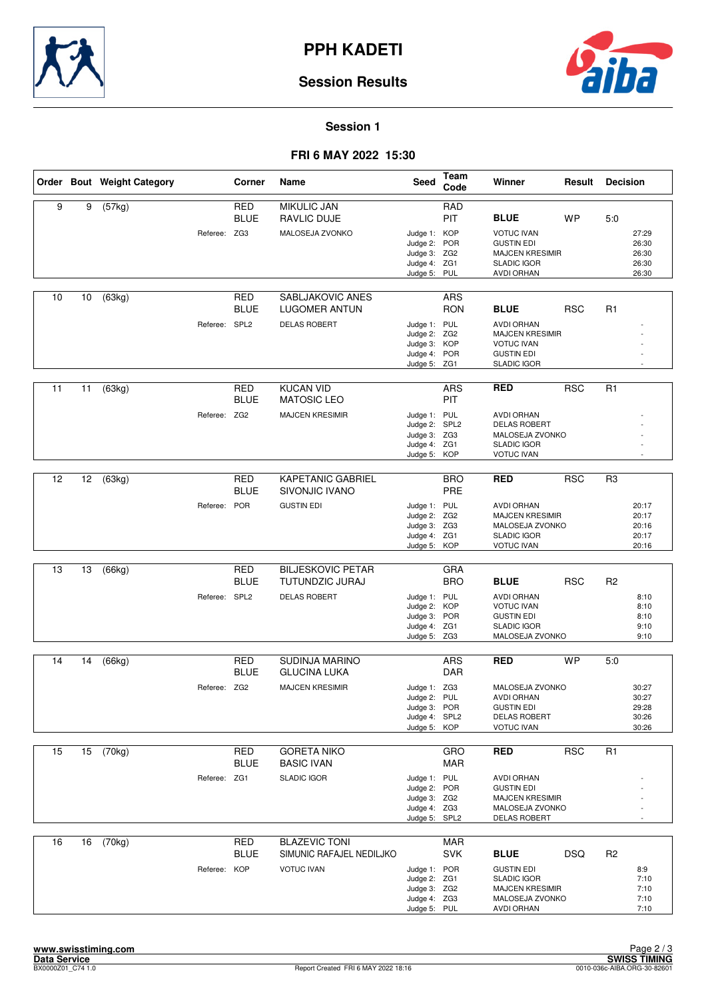



#### **Session 1**

#### **FRI 6 MAY 2022 15:30**

|    |                 | Order Bout Weight Category |               | Corner                    | Name                                             | <b>Seed</b>                                                                   | Team<br>Code             | Winner                                                                                                      | Result     | <b>Decision</b> |                                           |
|----|-----------------|----------------------------|---------------|---------------------------|--------------------------------------------------|-------------------------------------------------------------------------------|--------------------------|-------------------------------------------------------------------------------------------------------------|------------|-----------------|-------------------------------------------|
| 9  | 9               | (57kg)                     |               | <b>RED</b><br><b>BLUE</b> | <b>MIKULIC JAN</b><br><b>RAVLIC DUJE</b>         |                                                                               | <b>RAD</b><br><b>PIT</b> | <b>BLUE</b>                                                                                                 | <b>WP</b>  | 5:0             |                                           |
|    |                 |                            | Referee: ZG3  |                           | MALOSEJA ZVONKO                                  | Judge 1: KOP<br>Judge 2: POR<br>Judge 3: ZG2<br>Judge 4: ZG1<br>Judge 5: PUL  |                          | <b>VOTUC IVAN</b><br><b>GUSTIN EDI</b><br><b>MAJCEN KRESIMIR</b><br><b>SLADIC IGOR</b><br><b>AVDI ORHAN</b> |            |                 | 27:29<br>26:30<br>26:30<br>26:30<br>26:30 |
| 10 | 10              | (63kg)                     |               | RED<br><b>BLUE</b>        | SABLJAKOVIC ANES<br>LUGOMER ANTUN                |                                                                               | <b>ARS</b><br><b>RON</b> | <b>BLUE</b>                                                                                                 | <b>RSC</b> | R1              |                                           |
|    |                 |                            | Referee: SPL2 |                           | <b>DELAS ROBERT</b>                              | Judge 1: PUL<br>Judge 2: ZG2<br>Judge 3: KOP<br>Judge 4: POR<br>Judge 5: ZG1  |                          | <b>AVDI ORHAN</b><br><b>MAJCEN KRESIMIR</b><br><b>VOTUC IVAN</b><br><b>GUSTIN EDI</b><br><b>SLADIC IGOR</b> |            |                 |                                           |
| 11 | 11              | (63kg)                     |               | <b>RED</b><br><b>BLUE</b> | <b>KUCAN VID</b><br><b>MATOSIC LEO</b>           |                                                                               | <b>ARS</b><br>PIT        | <b>RED</b>                                                                                                  | <b>RSC</b> | R <sub>1</sub>  |                                           |
|    |                 |                            | Referee: ZG2  |                           | <b>MAJCEN KRESIMIR</b>                           | Judge 1: PUL<br>Judge 2: SPL2<br>Judge 3: ZG3<br>Judge 4: ZG1<br>Judge 5:     | KOP                      | <b>AVDI ORHAN</b><br><b>DELAS ROBERT</b><br>MALOSEJA ZVONKO<br><b>SLADIC IGOR</b><br><b>VOTUC IVAN</b>      |            |                 |                                           |
| 12 | 12              | (63kg)                     |               | <b>RED</b><br><b>BLUE</b> | <b>KAPETANIC GABRIEL</b><br>SIVONJIC IVANO       |                                                                               | <b>BRO</b><br>PRE        | <b>RED</b>                                                                                                  | <b>RSC</b> | R3              |                                           |
|    |                 |                            | Referee: POR  |                           | <b>GUSTIN EDI</b>                                | Judge 1: PUL<br>Judge 2: ZG2<br>Judge 3: ZG3<br>Judge 4: ZG1<br>Judge 5: KOP  |                          | <b>AVDI ORHAN</b><br><b>MAJCEN KRESIMIR</b><br>MALOSEJA ZVONKO<br><b>SLADIC IGOR</b><br><b>VOTUC IVAN</b>   |            |                 | 20:17<br>20:17<br>20:16<br>20:17<br>20:16 |
|    |                 |                            |               |                           |                                                  |                                                                               |                          |                                                                                                             |            |                 |                                           |
| 13 | 13              | (66kg)                     |               | <b>RED</b><br><b>BLUE</b> | <b>BILJESKOVIC PETAR</b><br>TUTUNDZIC JURAJ      |                                                                               | <b>GRA</b><br><b>BRO</b> | <b>BLUE</b>                                                                                                 | <b>RSC</b> | R <sub>2</sub>  |                                           |
|    |                 |                            | Referee: SPL2 |                           | <b>DELAS ROBERT</b>                              | Judge 1: PUL<br>Judge 2: KOP<br>Judge 3:<br>Judge 4: ZG1<br>Judge 5: ZG3      | POR                      | <b>AVDI ORHAN</b><br><b>VOTUC IVAN</b><br><b>GUSTIN EDI</b><br><b>SLADIC IGOR</b><br>MALOSEJA ZVONKO        |            |                 | 8:10<br>8:10<br>8:10<br>9:10<br>9:10      |
| 14 | 14              | (66kg)                     |               | RED                       | SUDINJA MARINO                                   |                                                                               | <b>ARS</b>               | <b>RED</b>                                                                                                  | <b>WP</b>  | 5:0             |                                           |
|    |                 |                            |               | <b>BLUE</b>               | <b>GLUCINA LUKA</b>                              |                                                                               | <b>DAR</b>               |                                                                                                             |            |                 |                                           |
|    |                 |                            | Referee: ZG2  |                           | <b>MAJCEN KRESIMIR</b>                           | Judge 1: ZG3<br>Judge 2: PUL<br>Judge 3: POR<br>Judge 4: SPL2<br>Judge 5: KOP |                          | MALOSEJA ZVONKO<br><b>AVDI ORHAN</b><br><b>GUSTIN EDI</b><br><b>DELAS ROBERT</b><br><b>VOTUC IVAN</b>       |            |                 | 30:27<br>30:27<br>29:28<br>30:26<br>30:26 |
| 15 | 15 <sup>2</sup> | (70kg)                     |               | RED<br><b>BLUE</b>        | <b>GORETA NIKO</b><br><b>BASIC IVAN</b>          |                                                                               | GRO<br>MAR               | <b>RED</b>                                                                                                  | <b>RSC</b> | R1              |                                           |
|    |                 |                            | Referee: ZG1  |                           | <b>SLADIC IGOR</b>                               | Judge 1: PUL<br>Judge 2: POR<br>Judge 3: ZG2<br>Judge 4: ZG3<br>Judge 5: SPL2 |                          | <b>AVDI ORHAN</b><br><b>GUSTIN EDI</b><br><b>MAJCEN KRESIMIR</b><br>MALOSEJA ZVONKO<br>DELAS ROBERT         |            |                 |                                           |
| 16 | 16              | (70kg)                     |               | <b>RED</b><br><b>BLUE</b> | <b>BLAZEVIC TONI</b><br>SIMUNIC RAFAJEL NEDILJKO |                                                                               | <b>MAR</b><br><b>SVK</b> | <b>BLUE</b>                                                                                                 | <b>DSQ</b> | R <sub>2</sub>  |                                           |
|    |                 |                            | Referee: KOP  |                           | <b>VOTUC IVAN</b>                                | Judge 1: POR<br>Judge 2: ZG1<br>Judge 3: ZG2<br>Judge 4: ZG3<br>Judge 5: PUL  |                          | <b>GUSTIN EDI</b><br><b>SLADIC IGOR</b><br><b>MAJCEN KRESIMIR</b><br>MALOSEJA ZVONKO<br>AVDI ORHAN          |            |                 | 8:9<br>7:10<br>7:10<br>7:10<br>7:10       |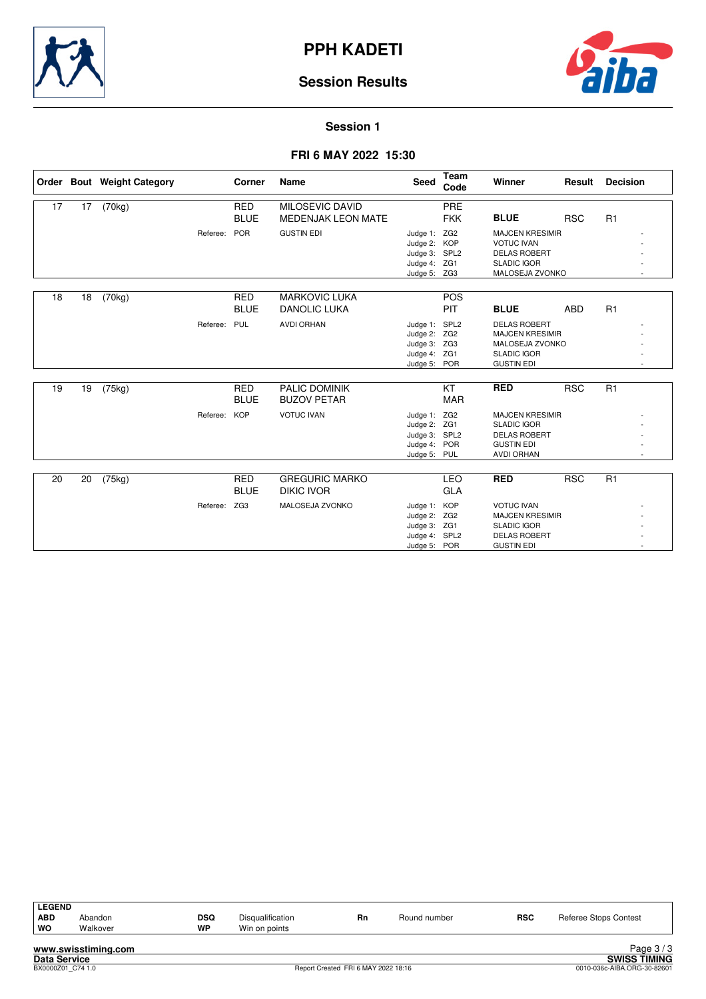

![](_page_2_Picture_2.jpeg)

#### **Session 1**

### **FRI 6 MAY 2022 15:30**

|    |    | Order Bout Weight Category |              | Corner                    | Name                                                | <b>Seed</b>                                                                   | Team<br>Code             | <b>Winner</b>                                                                                                 | Result     | <b>Decision</b> |
|----|----|----------------------------|--------------|---------------------------|-----------------------------------------------------|-------------------------------------------------------------------------------|--------------------------|---------------------------------------------------------------------------------------------------------------|------------|-----------------|
| 17 | 17 | (70kg)                     |              | <b>RED</b><br><b>BLUE</b> | <b>MILOSEVIC DAVID</b><br><b>MEDENJAK LEON MATE</b> |                                                                               | PRE<br><b>FKK</b>        | <b>BLUE</b>                                                                                                   | <b>RSC</b> | R1              |
|    |    |                            | Referee:     | POR                       | <b>GUSTIN EDI</b>                                   | Judge 1: ZG2<br>Judge 2: KOP<br>Judge 3: SPL2<br>Judge 4: ZG1<br>Judge 5: ZG3 |                          | <b>MAJCEN KRESIMIR</b><br><b>VOTUC IVAN</b><br><b>DELAS ROBERT</b><br><b>SLADIC IGOR</b><br>MALOSEJA ZVONKO   |            |                 |
| 18 | 18 | (70kg)                     |              | <b>RED</b><br><b>BLUE</b> | <b>MARKOVIC LUKA</b><br><b>DANOLIC LUKA</b>         |                                                                               | <b>POS</b><br><b>PIT</b> | <b>BLUE</b>                                                                                                   | <b>ABD</b> | R1              |
|    |    |                            | Referee: PUL |                           | <b>AVDI ORHAN</b>                                   | Judge 1: SPL2<br>Judge 2: ZG2<br>Judge 3: ZG3<br>Judge 4: ZG1<br>Judge 5: POR |                          | <b>DELAS ROBERT</b><br><b>MAJCEN KRESIMIR</b><br>MALOSEJA ZVONKO<br><b>SLADIC IGOR</b><br><b>GUSTIN EDI</b>   |            |                 |
| 19 | 19 | (75kg)                     |              | <b>RED</b><br><b>BLUE</b> | <b>PALIC DOMINIK</b><br><b>BUZOV PETAR</b>          |                                                                               | KT<br><b>MAR</b>         | <b>RED</b>                                                                                                    | <b>RSC</b> | R1              |
|    |    |                            | Referee:     | <b>KOP</b>                | <b>VOTUC IVAN</b>                                   | Judge 1: ZG2<br>Judge 2: ZG1<br>Judge 3: SPL2<br>Judge 4: POR<br>Judge 5:     | PUL                      | <b>MAJCEN KRESIMIR</b><br><b>SLADIC IGOR</b><br><b>DELAS ROBERT</b><br><b>GUSTIN EDI</b><br><b>AVDI ORHAN</b> |            |                 |
|    |    |                            |              |                           |                                                     |                                                                               |                          |                                                                                                               |            |                 |
| 20 | 20 | (75kg)                     |              | <b>RED</b><br><b>BLUE</b> | <b>GREGURIC MARKO</b><br><b>DIKIC IVOR</b>          |                                                                               | LEO<br>GLA               | <b>RED</b>                                                                                                    | <b>RSC</b> | R1              |
|    |    |                            | Referee: ZG3 |                           | MALOSEJA ZVONKO                                     | Judge 1: KOP<br>Judge 2: ZG2<br>Judge 3: ZG1<br>Judge 4: SPL2<br>Judge 5: POR |                          | <b>VOTUC IVAN</b><br><b>MAJCEN KRESIMIR</b><br><b>SLADIC IGOR</b><br><b>DELAS ROBERT</b><br><b>GUSTIN EDI</b> |            |                 |

| <b>LEGEND</b> |                     |           |                  |    |              |            |                       |
|---------------|---------------------|-----------|------------------|----|--------------|------------|-----------------------|
| <b>ABD</b>    | Abandon             | DSQ       | Disqualification | Rn | Round number | <b>RSC</b> | Referee Stops Contest |
| WO            | Walkover            | <b>WP</b> | Win on points    |    |              |            |                       |
|               | www.swisstiming.com |           |                  |    |              |            | Page $3/3$            |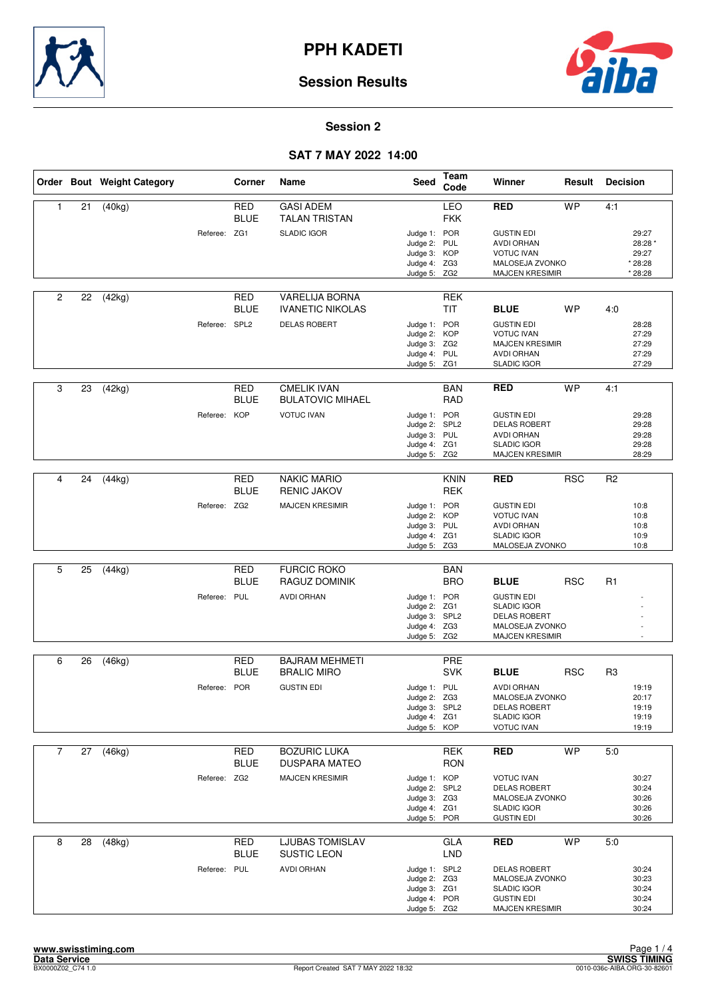![](_page_3_Picture_0.jpeg)

![](_page_3_Picture_2.jpeg)

### **Session 2**

|                |    | Order Bout Weight Category |               | Corner                    | Name                                             | <b>Seed</b>                                                                   | Team<br>Code              | Winner                                                                                                        | Result     | <b>Decision</b> |                                                 |
|----------------|----|----------------------------|---------------|---------------------------|--------------------------------------------------|-------------------------------------------------------------------------------|---------------------------|---------------------------------------------------------------------------------------------------------------|------------|-----------------|-------------------------------------------------|
| $\mathbf{1}$   | 21 | (40kg)                     |               | RED<br><b>BLUE</b>        | <b>GASI ADEM</b><br><b>TALAN TRISTAN</b>         |                                                                               | LEO<br><b>FKK</b>         | <b>RED</b>                                                                                                    | <b>WP</b>  | 4:1             |                                                 |
|                |    |                            | Referee: ZG1  |                           | <b>SLADIC IGOR</b>                               | Judge 1: POR<br>Judge 2: PUL<br>Judge 3: KOP<br>Judge 4: ZG3<br>Judge 5: ZG2  |                           | <b>GUSTIN EDI</b><br><b>AVDI ORHAN</b><br><b>VOTUC IVAN</b><br>MALOSEJA ZVONKO<br><b>MAJCEN KRESIMIR</b>      |            |                 | 29:27<br>28:28 *<br>29:27<br>* 28:28<br>* 28:28 |
| $\overline{2}$ | 22 | (42kg)                     |               | <b>RED</b><br><b>BLUE</b> | <b>VARELIJA BORNA</b><br><b>IVANETIC NIKOLAS</b> |                                                                               | <b>REK</b><br><b>TIT</b>  | <b>BLUE</b>                                                                                                   | <b>WP</b>  | 4:0             |                                                 |
|                |    |                            | Referee: SPL2 |                           | <b>DELAS ROBERT</b>                              | Judge 1: POR<br>Judge 2: KOP<br>Judge 3: ZG2<br>Judge 4: PUL<br>Judge 5: ZG1  |                           | <b>GUSTIN EDI</b><br><b>VOTUC IVAN</b><br><b>MAJCEN KRESIMIR</b><br><b>AVDI ORHAN</b><br><b>SLADIC IGOR</b>   |            |                 | 28:28<br>27:29<br>27:29<br>27:29<br>27:29       |
| 3              | 23 | (42kg)                     |               | <b>RED</b><br><b>BLUE</b> | <b>CMELIK IVAN</b><br><b>BULATOVIC MIHAEL</b>    |                                                                               | <b>BAN</b><br>RAD         | <b>RED</b>                                                                                                    | <b>WP</b>  | 4:1             |                                                 |
|                |    |                            | Referee: KOP  |                           | <b>VOTUC IVAN</b>                                | Judge 1: POR<br>Judge 2: SPL2<br>Judge 3: PUL<br>Judge 4: ZG1<br>Judge 5:     | ZG <sub>2</sub>           | <b>GUSTIN EDI</b><br><b>DELAS ROBERT</b><br><b>AVDI ORHAN</b><br><b>SLADIC IGOR</b><br><b>MAJCEN KRESIMIR</b> |            |                 | 29:28<br>29:28<br>29:28<br>29:28<br>28:29       |
|                |    |                            |               |                           |                                                  |                                                                               |                           |                                                                                                               |            |                 |                                                 |
| 4              | 24 | (44kg)                     |               | <b>RED</b><br><b>BLUE</b> | <b>NAKIC MARIO</b><br><b>RENIC JAKOV</b>         |                                                                               | <b>KNIN</b><br><b>REK</b> | <b>RED</b>                                                                                                    | <b>RSC</b> | R <sub>2</sub>  |                                                 |
|                |    |                            | Referee: ZG2  |                           | <b>MAJCEN KRESIMIR</b>                           | Judge 1: POR<br>Judge 2: KOP<br>Judge 3: PUL<br>Judge 4: ZG1<br>Judge 5: ZG3  |                           | <b>GUSTIN EDI</b><br><b>VOTUC IVAN</b><br><b>AVDI ORHAN</b><br><b>SLADIC IGOR</b><br>MALOSEJA ZVONKO          |            |                 | 10:8<br>10:8<br>10:8<br>10:9<br>10:8            |
|                |    |                            |               |                           |                                                  |                                                                               |                           |                                                                                                               |            |                 |                                                 |
| 5              | 25 | (44kg)                     |               | RED<br><b>BLUE</b>        | <b>FURCIC ROKO</b><br>RAGUZ DOMINIK              |                                                                               | <b>BAN</b><br><b>BRO</b>  | <b>BLUE</b>                                                                                                   | <b>RSC</b> | R <sub>1</sub>  |                                                 |
|                |    |                            | Referee: PUL  |                           | <b>AVDI ORHAN</b>                                | Judge 1: POR<br>Judge 2: ZG1<br>Judge 3: SPL2<br>Judge 4: ZG3<br>Judge 5: ZG2 |                           | <b>GUSTIN EDI</b><br><b>SLADIC IGOR</b><br><b>DELAS ROBERT</b><br>MALOSEJA ZVONKO<br><b>MAJCEN KRESIMIR</b>   |            |                 | $\overline{a}$                                  |
| 6              |    |                            |               | RED                       | <b>BAJRAM MEHMETI</b>                            |                                                                               | PRE                       |                                                                                                               |            |                 |                                                 |
|                | 26 | (46kg)                     |               | <b>BLUE</b>               | <b>BRALIC MIRO</b>                               |                                                                               | <b>SVK</b>                | <b>BLUE</b>                                                                                                   | <b>RSC</b> | R <sub>3</sub>  |                                                 |
|                |    |                            | Referee: POR  |                           | <b>GUSTIN EDI</b>                                | Judge 1: PUL<br>Judge 2: ZG3<br>Judge 3: SPL2<br>Judge 4: ZG1<br>Judge 5: KOP |                           | <b>AVDI ORHAN</b><br>MALOSEJA ZVONKO<br><b>DELAS ROBERT</b><br><b>SLADIC IGOR</b><br><b>VOTUC IVAN</b>        |            |                 | 19:19<br>20:17<br>19:19<br>19:19<br>19:19       |
| $\overline{7}$ | 27 | (46kg)                     |               | <b>RED</b>                | <b>BOZURIC LUKA</b>                              |                                                                               | <b>REK</b>                | <b>RED</b>                                                                                                    | <b>WP</b>  | 5:0             |                                                 |
|                |    |                            |               | <b>BLUE</b>               | <b>DUSPARA MATEO</b>                             |                                                                               | <b>RON</b>                |                                                                                                               |            |                 |                                                 |
|                |    |                            | Referee: ZG2  |                           | <b>MAJCEN KRESIMIR</b>                           | Judge 1: KOP<br>Judge 2: SPL2<br>Judge 3: ZG3<br>Judge 4: ZG1<br>Judge 5: POR |                           | <b>VOTUC IVAN</b><br><b>DELAS ROBERT</b><br>MALOSEJA ZVONKO<br><b>SLADIC IGOR</b><br><b>GUSTIN EDI</b>        |            |                 | 30:27<br>30:24<br>30:26<br>30:26<br>30:26       |
| 8              | 28 | (48kg)                     |               | <b>RED</b><br><b>BLUE</b> | <b>LJUBAS TOMISLAV</b><br>SUSTIC LEON            |                                                                               | GLA<br><b>LND</b>         | <b>RED</b>                                                                                                    | <b>WP</b>  | 5:0             |                                                 |
|                |    |                            | Referee: PUL  |                           | AVDI ORHAN                                       | Judge 1: SPL2<br>Judge 2: ZG3<br>Judge 3: ZG1<br>Judge 4: POR<br>Judge 5: ZG2 |                           | <b>DELAS ROBERT</b><br>MALOSEJA ZVONKO<br><b>SLADIC IGOR</b><br><b>GUSTIN EDI</b><br><b>MAJCEN KRESIMIR</b>   |            |                 | 30:24<br>30:23<br>30:24<br>30:24<br>30:24       |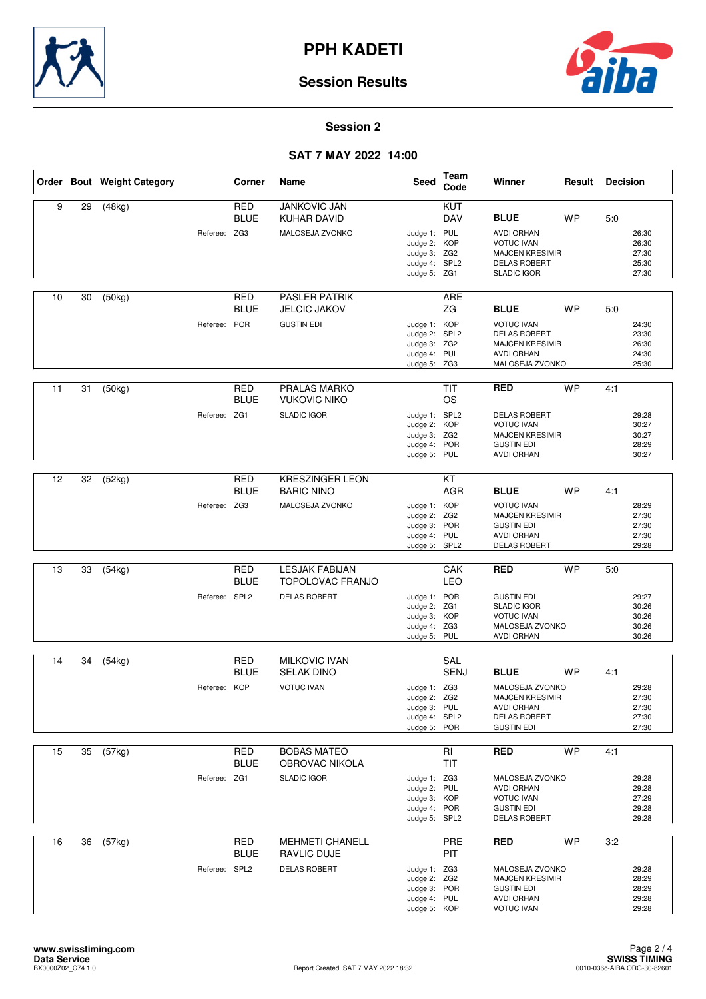![](_page_4_Picture_0.jpeg)

![](_page_4_Picture_2.jpeg)

#### **Session 2**

|    |    | Order Bout Weight Category |               | Corner                    | Name                                                  | Seed                                                                          | <b>Team</b><br>Code     | Winner                                                                                                       | Result    | <b>Decision</b> |                                           |
|----|----|----------------------------|---------------|---------------------------|-------------------------------------------------------|-------------------------------------------------------------------------------|-------------------------|--------------------------------------------------------------------------------------------------------------|-----------|-----------------|-------------------------------------------|
| 9  | 29 | (48kg)                     | Referee: ZG3  | <b>RED</b><br><b>BLUE</b> | <b>JANKOVIC JAN</b><br>KUHAR DAVID<br>MALOSEJA ZVONKO | Judge 1: PUL                                                                  | KUT<br><b>DAV</b>       | <b>BLUE</b><br><b>AVDI ORHAN</b>                                                                             | <b>WP</b> | 5:0             | 26:30                                     |
|    |    |                            |               |                           |                                                       | Judge 2: KOP<br>Judge 3: ZG2<br>Judge 4: SPL2<br>Judge 5: ZG1                 |                         | <b>VOTUC IVAN</b><br><b>MAJCEN KRESIMIR</b><br><b>DELAS ROBERT</b><br><b>SLADIC IGOR</b>                     |           |                 | 26:30<br>27:30<br>25:30<br>27:30          |
| 10 | 30 | (50kg)                     |               | RED<br><b>BLUE</b>        | <b>PASLER PATRIK</b><br><b>JELCIC JAKOV</b>           |                                                                               | ARE<br>ZG               | <b>BLUE</b>                                                                                                  | <b>WP</b> | 5:0             |                                           |
|    |    |                            | Referee: POR  |                           | <b>GUSTIN EDI</b>                                     | Judge 1: KOP<br>Judge 2: SPL2<br>Judge 3: ZG2<br>Judge 4: PUL<br>Judge 5: ZG3 |                         | <b>VOTUC IVAN</b><br><b>DELAS ROBERT</b><br><b>MAJCEN KRESIMIR</b><br><b>AVDI ORHAN</b><br>MALOSEJA ZVONKO   |           |                 | 24:30<br>23:30<br>26:30<br>24:30<br>25:30 |
| 11 | 31 | (50kg)                     |               | RED<br><b>BLUE</b>        | PRALAS MARKO<br><b>VUKOVIC NIKO</b>                   |                                                                               | <b>TIT</b><br><b>OS</b> | <b>RED</b>                                                                                                   | <b>WP</b> | 4:1             |                                           |
|    |    |                            | Referee: ZG1  |                           | <b>SLADIC IGOR</b>                                    | Judge 1: SPL2<br>Judge 2: KOP<br>Judge 3: ZG2<br>Judge 4: POR<br>Judge 5: PUL |                         | <b>DELAS ROBERT</b><br><b>VOTUC IVAN</b><br><b>MAJCEN KRESIMIR</b><br><b>GUSTIN EDI</b><br><b>AVDI ORHAN</b> |           |                 | 29:28<br>30:27<br>30:27<br>28:29<br>30:27 |
| 12 | 32 | (52kg)                     |               | <b>RED</b>                | <b>KRESZINGER LEON</b>                                |                                                                               | $\overline{KT}$         |                                                                                                              |           |                 |                                           |
|    |    |                            |               | <b>BLUE</b>               | <b>BARIC NINO</b>                                     |                                                                               | AGR                     | <b>BLUE</b>                                                                                                  | <b>WP</b> | 4:1             |                                           |
|    |    |                            | Referee: ZG3  |                           | MALOSEJA ZVONKO                                       | Judge 1: KOP<br>Judge 2:<br>Judge 3: POR<br>Judge 4: PUL<br>Judge 5: SPL2     | ZG <sub>2</sub>         | <b>VOTUC IVAN</b><br><b>MAJCEN KRESIMIR</b><br><b>GUSTIN EDI</b><br><b>AVDI ORHAN</b><br>DELAS ROBERT        |           |                 | 28:29<br>27:30<br>27:30<br>27:30<br>29:28 |
|    |    |                            |               |                           |                                                       |                                                                               |                         |                                                                                                              |           |                 |                                           |
| 13 | 33 | (54kg)                     |               | <b>RED</b><br><b>BLUE</b> | <b>LESJAK FABIJAN</b><br><b>TOPOLOVAC FRANJO</b>      |                                                                               | CAK<br>LEO              | <b>RED</b>                                                                                                   | <b>WP</b> | 5:0             |                                           |
|    |    |                            | Referee: SPL2 |                           | <b>DELAS ROBERT</b>                                   | Judge 1: POR<br>Judge 2: ZG1<br>Judge 3: KOP<br>Judge 4: ZG3<br>Judge 5: PUL  |                         | <b>GUSTIN EDI</b><br><b>SLADIC IGOR</b><br><b>VOTUC IVAN</b><br>MALOSEJA ZVONKO<br><b>AVDI ORHAN</b>         |           |                 | 29:27<br>30:26<br>30:26<br>30:26<br>30:26 |
|    |    |                            |               | <b>RED</b>                | <b>MILKOVIC IVAN</b>                                  |                                                                               |                         |                                                                                                              |           |                 |                                           |
| 14 | 34 | (54kg)                     |               | <b>BLUE</b>               | <b>SELAK DINO</b>                                     |                                                                               | SAL<br><b>SENJ</b>      | <b>BLUE</b>                                                                                                  | <b>WP</b> | 4:1             |                                           |
|    |    |                            | Referee: KOP  |                           | <b>VOTUC IVAN</b>                                     | Judge 1: ZG3<br>Judge 2: ZG2<br>Judge 3: PUL<br>Judge 4: SPL2<br>Judge 5: POR |                         | MALOSEJA ZVONKO<br><b>MAJCEN KRESIMIR</b><br>AVDI ORHAN<br><b>DELAS ROBERT</b><br><b>GUSTIN EDI</b>          |           |                 | 29:28<br>27:30<br>27:30<br>27:30<br>27:30 |
| 15 | 35 | (57kg)                     |               | RED<br><b>BLUE</b>        | <b>BOBAS MATEO</b><br>OBROVAC NIKOLA                  |                                                                               | RI<br><b>TIT</b>        | <b>RED</b>                                                                                                   | <b>WP</b> | 4:1             |                                           |
|    |    |                            | Referee: ZG1  |                           | <b>SLADIC IGOR</b>                                    | Judge 1: ZG3<br>Judge 2: PUL<br>Judge 3: KOP<br>Judge 4: POR<br>Judge 5: SPL2 |                         | MALOSEJA ZVONKO<br><b>AVDI ORHAN</b><br><b>VOTUC IVAN</b><br><b>GUSTIN EDI</b><br><b>DELAS ROBERT</b>        |           |                 | 29:28<br>29:28<br>27:29<br>29:28<br>29:28 |
| 16 | 36 | (57kg)                     |               | <b>RED</b><br><b>BLUE</b> | <b>MEHMETI CHANELL</b><br><b>RAVLIC DUJE</b>          |                                                                               | PRE<br>PIT              | <b>RED</b>                                                                                                   | <b>WP</b> | 3:2             |                                           |
|    |    |                            | Referee: SPL2 |                           | <b>DELAS ROBERT</b>                                   | Judge 1: ZG3<br>Judge 2: ZG2<br>Judge 3: POR<br>Judge 4: PUL<br>Judge 5: KOP  |                         | MALOSEJA ZVONKO<br><b>MAJCEN KRESIMIR</b><br><b>GUSTIN EDI</b><br><b>AVDI ORHAN</b><br><b>VOTUC IVAN</b>     |           |                 | 29:28<br>28:29<br>28:29<br>29:28<br>29:28 |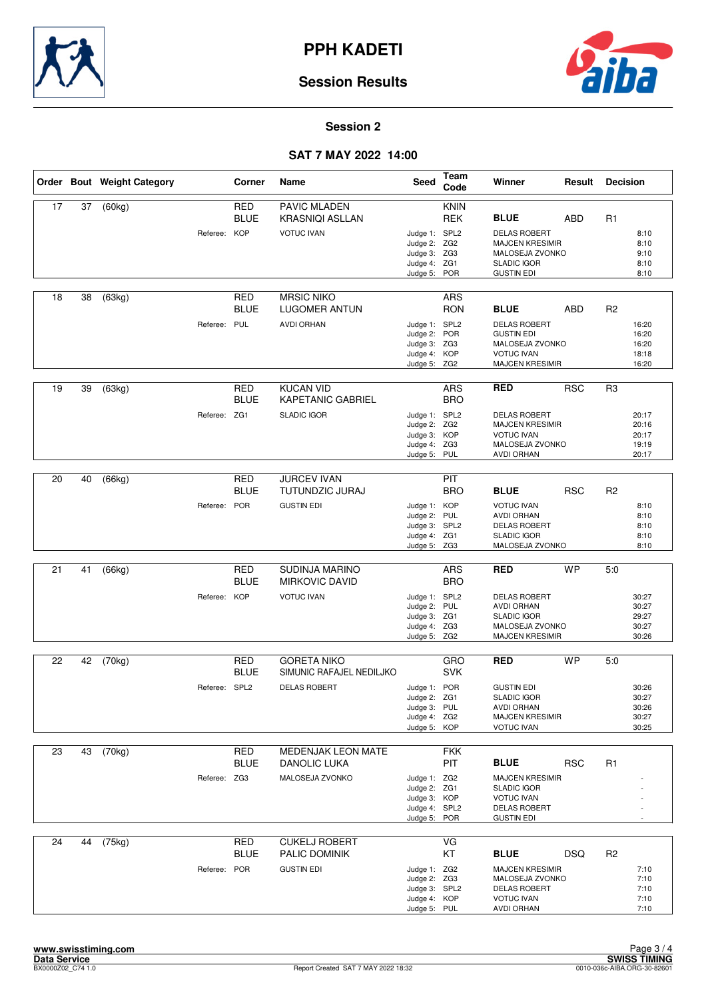![](_page_5_Picture_0.jpeg)

![](_page_5_Picture_2.jpeg)

### **Session 2**

|    |    | Order Bout Weight Category |               | Corner                    | Name                                         | <b>Seed</b>                                                                   | Team<br>Code              | Winner                                                                                                        | Result     | <b>Decision</b> |                                           |
|----|----|----------------------------|---------------|---------------------------|----------------------------------------------|-------------------------------------------------------------------------------|---------------------------|---------------------------------------------------------------------------------------------------------------|------------|-----------------|-------------------------------------------|
| 17 | 37 | (60kg)                     |               | RED<br><b>BLUE</b>        | PAVIC MLADEN<br><b>KRASNIQI ASLLAN</b>       |                                                                               | <b>KNIN</b><br><b>REK</b> | <b>BLUE</b>                                                                                                   | <b>ABD</b> | R <sub>1</sub>  |                                           |
|    |    |                            | Referee: KOP  |                           | <b>VOTUC IVAN</b>                            | Judge 1: SPL2<br>Judge 2: ZG2<br>Judge 3: ZG3<br>Judge 4: ZG1<br>Judge 5: POR |                           | <b>DELAS ROBERT</b><br><b>MAJCEN KRESIMIR</b><br>MALOSEJA ZVONKO<br><b>SLADIC IGOR</b><br><b>GUSTIN EDI</b>   |            |                 | 8:10<br>8:10<br>9:10<br>8:10<br>8:10      |
| 18 | 38 | (63kg)                     |               | RED<br><b>BLUE</b>        | <b>MRSIC NIKO</b><br>LUGOMER ANTUN           |                                                                               | <b>ARS</b><br><b>RON</b>  | <b>BLUE</b>                                                                                                   | <b>ABD</b> | R <sub>2</sub>  |                                           |
|    |    |                            | Referee: PUL  |                           | <b>AVDI ORHAN</b>                            | Judge 1: SPL2<br>Judge 2: POR<br>Judge 3: ZG3<br>Judge 4: KOP<br>Judge 5: ZG2 |                           | <b>DELAS ROBERT</b><br><b>GUSTIN EDI</b><br>MALOSEJA ZVONKO<br><b>VOTUC IVAN</b><br><b>MAJCEN KRESIMIR</b>    |            |                 | 16:20<br>16:20<br>16:20<br>18:18<br>16:20 |
| 19 | 39 | (63kg)                     |               | <b>RED</b><br><b>BLUE</b> | <b>KUCAN VID</b><br><b>KAPETANIC GABRIEL</b> |                                                                               | <b>ARS</b><br><b>BRO</b>  | <b>RED</b>                                                                                                    | <b>RSC</b> | R <sub>3</sub>  |                                           |
|    |    |                            | Referee: ZG1  |                           | <b>SLADIC IGOR</b>                           | Judge 1: SPL2<br>Judge 2: ZG2<br>Judge 3: KOP<br>Judge 4: ZG3<br>Judge 5: PUL |                           | <b>DELAS ROBERT</b><br><b>MAJCEN KRESIMIR</b><br><b>VOTUC IVAN</b><br>MALOSEJA ZVONKO<br><b>AVDI ORHAN</b>    |            |                 | 20:17<br>20:16<br>20:17<br>19:19<br>20:17 |
|    |    |                            |               |                           |                                              |                                                                               |                           |                                                                                                               |            |                 |                                           |
| 20 | 40 | (66kg)                     |               | <b>RED</b><br><b>BLUE</b> | <b>JURCEV IVAN</b><br>TUTUNDZIC JURAJ        |                                                                               | PIT<br><b>BRO</b>         | <b>BLUE</b>                                                                                                   | <b>RSC</b> | R <sub>2</sub>  |                                           |
|    |    |                            | Referee: POR  |                           | <b>GUSTIN EDI</b>                            | Judge 1: KOP<br>Judge 2: PUL<br>Judge 3: SPL2<br>Judge 4: ZG1<br>Judge 5: ZG3 |                           | <b>VOTUC IVAN</b><br><b>AVDI ORHAN</b><br><b>DELAS ROBERT</b><br><b>SLADIC IGOR</b><br>MALOSEJA ZVONKO        |            |                 | 8:10<br>8:10<br>8:10<br>8:10<br>8:10      |
|    |    |                            |               |                           |                                              |                                                                               |                           |                                                                                                               |            |                 |                                           |
| 21 | 41 | (66kg)                     |               | <b>RED</b><br><b>BLUE</b> | SUDINJA MARINO<br><b>MIRKOVIC DAVID</b>      |                                                                               | <b>ARS</b><br><b>BRO</b>  | <b>RED</b>                                                                                                    | <b>WP</b>  | 5:0             |                                           |
|    |    |                            | Referee: KOP  |                           | <b>VOTUC IVAN</b>                            | Judge 1: SPL2<br>Judge 2: PUL<br>Judge 3: ZG1<br>Judge 4: ZG3<br>Judge 5: ZG2 |                           | <b>DELAS ROBERT</b><br><b>AVDI ORHAN</b><br><b>SLADIC IGOR</b><br>MALOSEJA ZVONKO<br><b>MAJCEN KRESIMIR</b>   |            |                 | 30:27<br>30:27<br>29:27<br>30:27<br>30:26 |
| 22 | 42 | (70kg)                     |               | RED                       | <b>GORETA NIKO</b>                           |                                                                               | GRO                       | <b>RED</b>                                                                                                    | <b>WP</b>  | 5:0             |                                           |
|    |    |                            |               | <b>BLUE</b>               | SIMUNIC RAFAJEL NEDILJKO                     |                                                                               | <b>SVK</b>                |                                                                                                               |            |                 |                                           |
|    |    |                            | Referee: SPL2 |                           | <b>DELAS ROBERT</b>                          | Judge 1: POR<br>Judge 2: ZG1<br>Judge 3: PUL<br>Judge 4: ZG2<br>Judge 5: KOP  |                           | <b>GUSTIN EDI</b><br><b>SLADIC IGOR</b><br><b>AVDI ORHAN</b><br><b>MAJCEN KRESIMIR</b><br><b>VOTUC IVAN</b>   |            |                 | 30:26<br>30:27<br>30:26<br>30:27<br>30:25 |
| 23 | 43 | (70kg)                     |               | <b>RED</b>                | <b>MEDENJAK LEON MATE</b>                    |                                                                               | <b>FKK</b>                |                                                                                                               |            |                 |                                           |
|    |    |                            |               | <b>BLUE</b>               | DANOLIC LUKA                                 |                                                                               | PIT                       | <b>BLUE</b>                                                                                                   | <b>RSC</b> | R <sub>1</sub>  |                                           |
|    |    |                            | Referee: ZG3  |                           | MALOSEJA ZVONKO                              | Judge 1: ZG2<br>Judge 2: ZG1<br>Judge 3: KOP<br>Judge 4: SPL2<br>Judge 5: POR |                           | <b>MAJCEN KRESIMIR</b><br><b>SLADIC IGOR</b><br><b>VOTUC IVAN</b><br><b>DELAS ROBERT</b><br><b>GUSTIN EDI</b> |            |                 |                                           |
| 24 | 44 | (75kg)                     |               | <b>RED</b><br><b>BLUE</b> | <b>CUKELJ ROBERT</b><br>PALIC DOMINIK        |                                                                               | VG<br>KT                  | <b>BLUE</b>                                                                                                   | <b>DSQ</b> | R <sub>2</sub>  |                                           |
|    |    |                            | Referee: POR  |                           | <b>GUSTIN EDI</b>                            | Judge 1: ZG2<br>Judge 2: ZG3<br>Judge 3: SPL2<br>Judge 4: KOP<br>Judge 5: PUL |                           | <b>MAJCEN KRESIMIR</b><br>MALOSEJA ZVONKO<br><b>DELAS ROBERT</b><br><b>VOTUC IVAN</b><br><b>AVDI ORHAN</b>    |            |                 | 7:10<br>7:10<br>7:10<br>7:10<br>7:10      |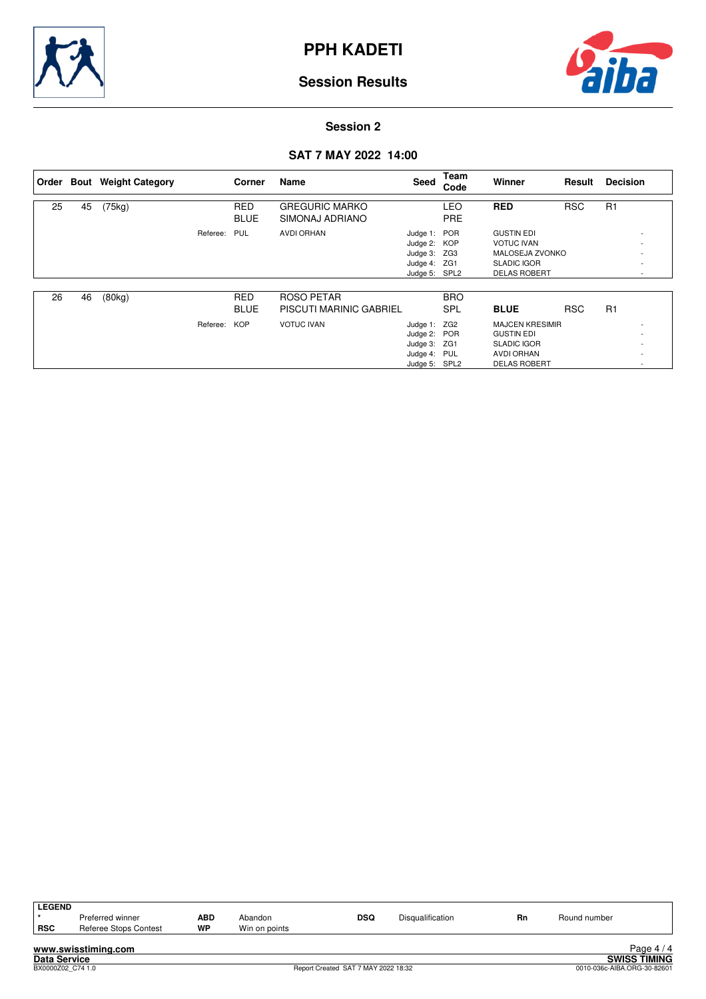![](_page_6_Picture_0.jpeg)

![](_page_6_Picture_2.jpeg)

### **Session 2**

|    |    | Order Bout Weight Category |          | Corner      | Name                           | Seed          | Team<br>Code | Winner                 | Result     | <b>Decision</b>          |
|----|----|----------------------------|----------|-------------|--------------------------------|---------------|--------------|------------------------|------------|--------------------------|
| 25 | 45 | (75kg)                     |          | <b>RED</b>  | <b>GREGURIC MARKO</b>          |               | LEO          | <b>RED</b>             | <b>RSC</b> | R1                       |
|    |    |                            |          | <b>BLUE</b> | SIMONAJ ADRIANO                |               | <b>PRE</b>   |                        |            |                          |
|    |    |                            | Referee: | PUL         | AVDI ORHAN                     | Judge 1: POR  |              | <b>GUSTIN EDI</b>      |            |                          |
|    |    |                            |          |             |                                | Judge 2: KOP  |              | <b>VOTUC IVAN</b>      |            |                          |
|    |    |                            |          |             |                                | Judge 3: ZG3  |              | MALOSEJA ZVONKO        |            |                          |
|    |    |                            |          |             |                                | Judge 4: ZG1  |              | <b>SLADIC IGOR</b>     |            |                          |
|    |    |                            |          |             |                                | Judge 5: SPL2 |              | <b>DELAS ROBERT</b>    |            | $\overline{\phantom{a}}$ |
|    |    |                            |          |             |                                |               |              |                        |            |                          |
| 26 | 46 | (80kg)                     |          | <b>RED</b>  | ROSO PETAR                     |               | <b>BRO</b>   |                        |            |                          |
|    |    |                            |          | <b>BLUE</b> | <b>PISCUTI MARINIC GABRIEL</b> |               | <b>SPL</b>   | <b>BLUE</b>            | <b>RSC</b> | R1                       |
|    |    |                            | Referee: | <b>KOP</b>  | <b>VOTUC IVAN</b>              | Judge 1: ZG2  |              | <b>MAJCEN KRESIMIR</b> |            |                          |
|    |    |                            |          |             |                                | Judge 2: POR  |              | <b>GUSTIN EDI</b>      |            |                          |
|    |    |                            |          |             |                                | Judge 3: ZG1  |              | <b>SLADIC IGOR</b>     |            |                          |
|    |    |                            |          |             |                                | Judge 4: PUL  |              | <b>AVDI ORHAN</b>      |            |                          |
|    |    |                            |          |             |                                | Judge 5: SPL2 |              | <b>DELAS ROBERT</b>    |            |                          |

| <b>LEGEND</b>       |                       |           |               |                                     |                  |    |                             |                     |
|---------------------|-----------------------|-----------|---------------|-------------------------------------|------------------|----|-----------------------------|---------------------|
|                     | Preferred winner      | ABD       | Abandon       | <b>DSQ</b>                          | Disqualification | Rn | Round number                |                     |
| <b>RSC</b>          | Referee Stops Contest | <b>WP</b> | Win on points |                                     |                  |    |                             |                     |
|                     |                       |           |               |                                     |                  |    |                             |                     |
|                     | www.swisstiming.com   |           |               |                                     |                  |    |                             | Page $4/4$          |
| <b>Data Service</b> |                       |           |               |                                     |                  |    |                             | <b>SWISS TIMING</b> |
| BX0000Z02 C74 1.0   |                       |           |               | Report Created SAT 7 MAY 2022 18:32 |                  |    | 0010-036c-AIBA.ORG-30-82601 |                     |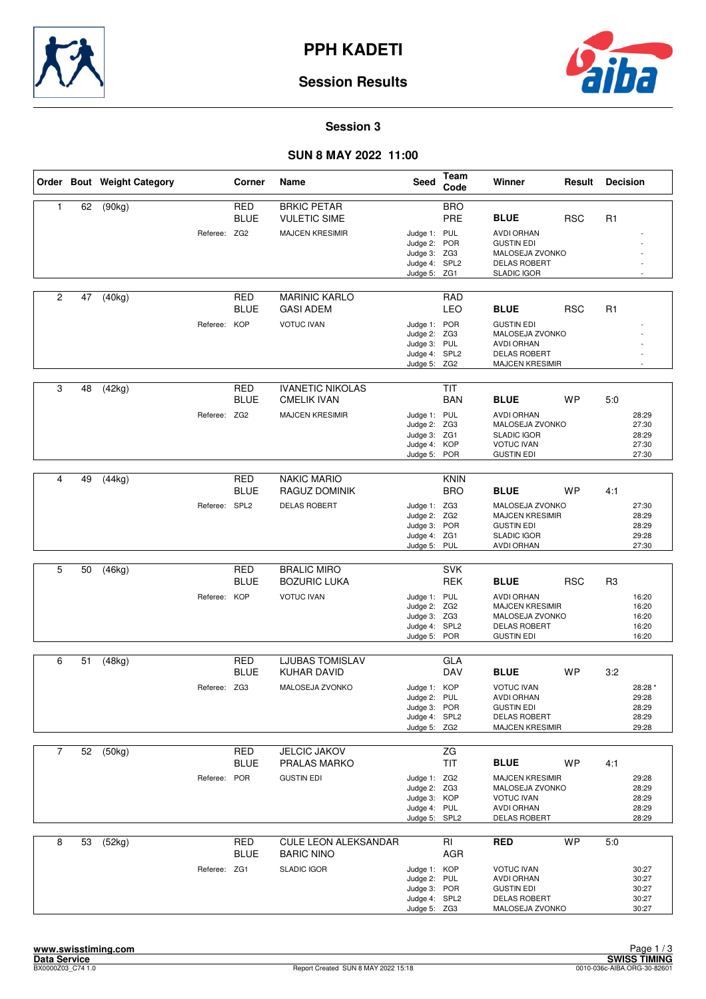![](_page_7_Picture_0.jpeg)

![](_page_7_Picture_2.jpeg)

#### **Session 3**

#### **SUN 8 MAY 2022 11:00**

|                |    | Order Bout Weight Category |               | Corner                    | Name                                                                | <b>Seed</b>                                                                   | <b>Team</b><br>Code       | Winner                                                                                                     | Result     | <b>Decision</b> |                                             |
|----------------|----|----------------------------|---------------|---------------------------|---------------------------------------------------------------------|-------------------------------------------------------------------------------|---------------------------|------------------------------------------------------------------------------------------------------------|------------|-----------------|---------------------------------------------|
| 1              | 62 | (90kg)                     | Referee: ZG2  | <b>RED</b><br><b>BLUE</b> | <b>BRKIC PETAR</b><br><b>VULETIC SIME</b><br><b>MAJCEN KRESIMIR</b> | Judge 1: PUL                                                                  | <b>BRO</b><br>PRE         | <b>BLUE</b><br><b>AVDI ORHAN</b>                                                                           | <b>RSC</b> | R <sub>1</sub>  |                                             |
|                |    |                            |               |                           |                                                                     | Judge 2: POR<br>Judge 3: ZG3<br>Judge 4: SPL2<br>Judge 5: ZG1                 |                           | <b>GUSTIN EDI</b><br>MALOSEJA ZVONKO<br><b>DELAS ROBERT</b><br><b>SLADIC IGOR</b>                          |            |                 |                                             |
| $\overline{2}$ | 47 | (40kg)                     |               | RED<br><b>BLUE</b>        | <b>MARINIC KARLO</b><br><b>GASI ADEM</b>                            |                                                                               | RAD<br><b>LEO</b>         | <b>BLUE</b>                                                                                                | <b>RSC</b> | R1              |                                             |
|                |    |                            | Referee: KOP  |                           | <b>VOTUC IVAN</b>                                                   | Judge 1: POR<br>Judge 2: ZG3<br>Judge 3: PUL<br>Judge 4: SPL2<br>Judge 5: ZG2 |                           | <b>GUSTIN EDI</b><br>MALOSEJA ZVONKO<br><b>AVDI ORHAN</b><br><b>DELAS ROBERT</b><br><b>MAJCEN KRESIMIR</b> |            |                 |                                             |
| 3              | 48 | (42kg)                     |               | <b>RED</b><br><b>BLUE</b> | <b>IVANETIC NIKOLAS</b><br><b>CMELIK IVAN</b>                       |                                                                               | <b>TIT</b><br><b>BAN</b>  | <b>BLUE</b>                                                                                                | <b>WP</b>  | 5:0             |                                             |
|                |    |                            | Referee: ZG2  |                           | <b>MAJCEN KRESIMIR</b>                                              | Judge 1: PUL<br>Judge 2: ZG3<br>Judge 3: ZG1<br>Judge 4: KOP<br>Judge 5: POR  |                           | <b>AVDI ORHAN</b><br>MALOSEJA ZVONKO<br><b>SLADIC IGOR</b><br><b>VOTUC IVAN</b><br><b>GUSTIN EDI</b>       |            |                 | 28:29<br>27:30<br>28:29<br>27:30<br>27:30   |
|                |    |                            |               |                           |                                                                     |                                                                               |                           |                                                                                                            |            |                 |                                             |
| 4              | 49 | (44kg)                     |               | <b>RED</b><br><b>BLUE</b> | <b>NAKIC MARIO</b><br>RAGUZ DOMINIK                                 |                                                                               | <b>KNIN</b><br><b>BRO</b> | <b>BLUE</b>                                                                                                | <b>WP</b>  | 4:1             |                                             |
|                |    |                            | Referee: SPL2 |                           | <b>DELAS ROBERT</b>                                                 | Judge 1: ZG3<br>Judge 2:<br>Judge 3: POR<br>Judge 4: ZG1<br>Judge 5: PUL      | ZG <sub>2</sub>           | MALOSEJA ZVONKO<br><b>MAJCEN KRESIMIR</b><br><b>GUSTIN EDI</b><br><b>SLADIC IGOR</b><br><b>AVDI ORHAN</b>  |            |                 | 27:30<br>28:29<br>28:29<br>29:28<br>27:30   |
|                |    |                            |               |                           |                                                                     |                                                                               |                           |                                                                                                            |            |                 |                                             |
| 5              | 50 | (46kg)                     |               | <b>RED</b><br><b>BLUE</b> | <b>BRALIC MIRO</b><br><b>BOZURIC LUKA</b>                           |                                                                               | <b>SVK</b><br><b>REK</b>  | <b>BLUE</b>                                                                                                | <b>RSC</b> | R3              |                                             |
|                |    |                            | Referee: KOP  |                           | <b>VOTUC IVAN</b>                                                   | Judge 1: PUL<br>Judge 2: ZG2<br>Judge 3: ZG3<br>Judge 4: SPL2<br>Judge 5: POR |                           | <b>AVDI ORHAN</b><br><b>MAJCEN KRESIMIR</b><br>MALOSEJA ZVONKO<br><b>DELAS ROBERT</b><br><b>GUSTIN EDI</b> |            |                 | 16:20<br>16:20<br>16:20<br>16:20<br>16:20   |
| 6              | 51 | (48kg)                     |               | <b>RED</b>                | LJUBAS TOMISLAV                                                     |                                                                               | <b>GLA</b>                |                                                                                                            |            |                 |                                             |
|                |    |                            |               | <b>BLUE</b>               | <b>KUHAR DAVID</b>                                                  |                                                                               | <b>DAV</b>                | <b>BLUE</b>                                                                                                | <b>WP</b>  | 3:2             |                                             |
|                |    |                            | Referee: ZG3  |                           | MALOSEJA ZVONKO                                                     | Judge 1: KOP<br>Judge 2: PUL<br>Judge 3: POR<br>Judge 4: SPL2<br>Judge 5: ZG2 |                           | <b>VOTUC IVAN</b><br>AVDI ORHAN<br><b>GUSTIN EDI</b><br><b>DELAS ROBERT</b><br><b>MAJCEN KRESIMIR</b>      |            |                 | 28:28 *<br>29:28<br>28:29<br>28:29<br>29:28 |
| $\overline{7}$ | 52 | (50kg)                     |               | <b>RED</b>                | <b>JELCIC JAKOV</b>                                                 |                                                                               | ZG                        |                                                                                                            |            |                 |                                             |
|                |    |                            |               | <b>BLUE</b>               | PRALAS MARKO                                                        |                                                                               | <b>TIT</b>                | <b>BLUE</b>                                                                                                | <b>WP</b>  | 4:1             |                                             |
|                |    |                            | Referee: POR  |                           | <b>GUSTIN EDI</b>                                                   | Judge 1: ZG2<br>Judge 2: ZG3<br>Judge 3: KOP<br>Judge 4: PUL<br>Judge 5: SPL2 |                           | <b>MAJCEN KRESIMIR</b><br>MALOSEJA ZVONKO<br><b>VOTUC IVAN</b><br><b>AVDI ORHAN</b><br><b>DELAS ROBERT</b> |            |                 | 29:28<br>28:29<br>28:29<br>28:29<br>28:29   |
| 8              | 53 | $\overline{(52kg)}$        |               | <b>RED</b><br><b>BLUE</b> | CULE LEON ALEKSANDAR<br><b>BARIC NINO</b>                           |                                                                               | RI<br>AGR                 | <b>RED</b>                                                                                                 | <b>WP</b>  | 5.0             |                                             |
|                |    |                            | Referee: ZG1  |                           | <b>SLADIC IGOR</b>                                                  | Judge 1: KOP<br>Judge 2: PUL<br>Judge 3: POR<br>Judge 4: SPL2<br>Judge 5: ZG3 |                           | <b>VOTUC IVAN</b><br><b>AVDI ORHAN</b><br><b>GUSTIN EDI</b><br><b>DELAS ROBERT</b><br>MALOSEJA ZVONKO      |            |                 | 30:27<br>30:27<br>30:27<br>30:27<br>30:27   |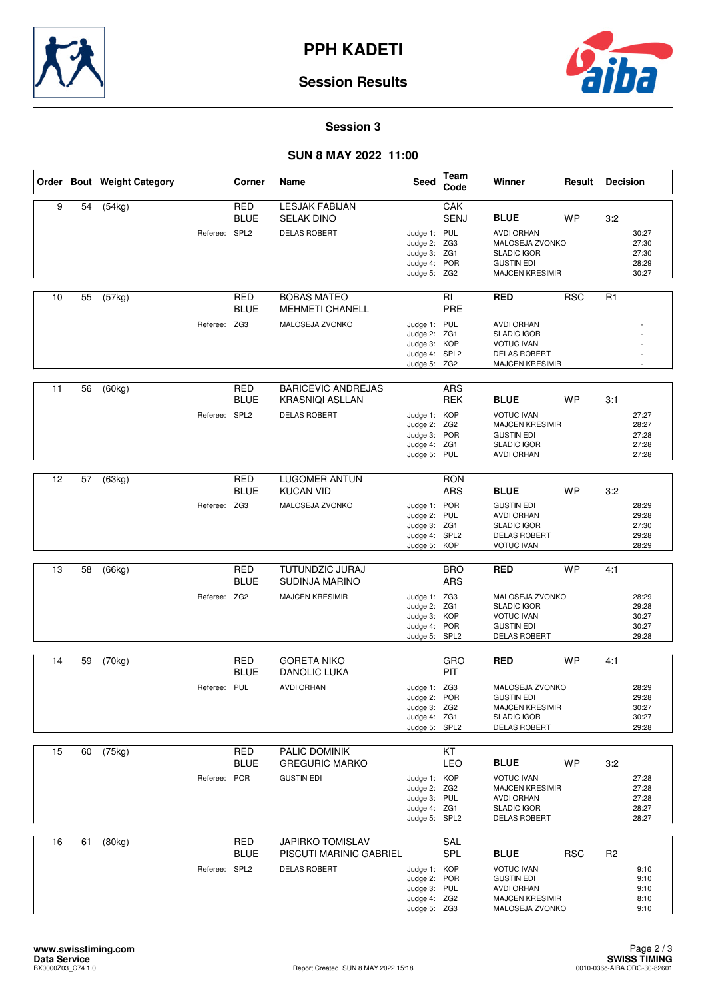![](_page_8_Picture_0.jpeg)

![](_page_8_Picture_2.jpeg)

### **Session 3**

#### **SUN 8 MAY 2022 11:00**

|    |    | Order Bout Weight Category |               | Corner                    | Name                                                | <b>Seed</b>                                                                   | Team<br>Code             | Winner                                                                                                        | Result     | <b>Decision</b> |                                           |
|----|----|----------------------------|---------------|---------------------------|-----------------------------------------------------|-------------------------------------------------------------------------------|--------------------------|---------------------------------------------------------------------------------------------------------------|------------|-----------------|-------------------------------------------|
| 9  | 54 | (54kg)                     |               | <b>RED</b><br><b>BLUE</b> | <b>LESJAK FABIJAN</b><br><b>SELAK DINO</b>          |                                                                               | CAK<br><b>SENJ</b>       | <b>BLUE</b>                                                                                                   | <b>WP</b>  | 3:2             |                                           |
|    |    |                            | Referee: SPL2 |                           | <b>DELAS ROBERT</b>                                 | Judge 1: PUL<br>Judge 2: ZG3<br>Judge 3: ZG1<br>Judge 4: POR<br>Judge 5: ZG2  |                          | <b>AVDI ORHAN</b><br>MALOSEJA ZVONKO<br><b>SLADIC IGOR</b><br><b>GUSTIN EDI</b><br><b>MAJCEN KRESIMIR</b>     |            |                 | 30:27<br>27:30<br>27:30<br>28:29<br>30:27 |
| 10 | 55 | (57kg)                     |               | RED<br><b>BLUE</b>        | <b>BOBAS MATEO</b><br><b>MEHMETI CHANELL</b>        |                                                                               | RI<br>PRE                | <b>RED</b>                                                                                                    | <b>RSC</b> | R <sub>1</sub>  |                                           |
|    |    |                            | Referee: ZG3  |                           | MALOSEJA ZVONKO                                     | Judge 1: PUL<br>Judge 2: ZG1<br>Judge 3: KOP<br>Judge 4: SPL2<br>Judge 5: ZG2 |                          | <b>AVDI ORHAN</b><br><b>SLADIC IGOR</b><br><b>VOTUC IVAN</b><br><b>DELAS ROBERT</b><br><b>MAJCEN KRESIMIR</b> |            |                 |                                           |
| 11 | 56 | (60kg)                     |               | <b>RED</b><br><b>BLUE</b> | <b>BARICEVIC ANDREJAS</b><br><b>KRASNIQI ASLLAN</b> |                                                                               | <b>ARS</b><br><b>REK</b> | <b>BLUE</b>                                                                                                   | <b>WP</b>  | 3:1             |                                           |
|    |    |                            | Referee: SPL2 |                           | <b>DELAS ROBERT</b>                                 | Judge 1: KOP<br>Judge 2: ZG2<br>Judge 3: POR<br>Judge 4: ZG1<br>Judge 5: PUL  |                          | <b>VOTUC IVAN</b><br><b>MAJCEN KRESIMIR</b><br><b>GUSTIN EDI</b><br><b>SLADIC IGOR</b><br><b>AVDI ORHAN</b>   |            |                 | 27:27<br>28:27<br>27:28<br>27:28<br>27:28 |
|    |    |                            |               |                           |                                                     |                                                                               |                          |                                                                                                               |            |                 |                                           |
| 12 | 57 | (63kg)                     |               | <b>RED</b><br><b>BLUE</b> | <b>LUGOMER ANTUN</b><br><b>KUCAN VID</b>            |                                                                               | <b>RON</b><br><b>ARS</b> | <b>BLUE</b>                                                                                                   | <b>WP</b>  | 3:2             |                                           |
|    |    |                            | Referee: ZG3  |                           | MALOSEJA ZVONKO                                     | Judge 1: POR<br>Judge 2: PUL<br>Judge 3: ZG1<br>Judge 4: SPL2<br>Judge 5: KOP |                          | <b>GUSTIN EDI</b><br><b>AVDI ORHAN</b><br><b>SLADIC IGOR</b><br><b>DELAS ROBERT</b><br><b>VOTUC IVAN</b>      |            |                 | 28:29<br>29:28<br>27:30<br>29:28<br>28:29 |
|    |    |                            |               |                           |                                                     |                                                                               |                          |                                                                                                               |            |                 |                                           |
| 13 | 58 | (66kg)                     |               | <b>RED</b><br><b>BLUE</b> | TUTUNDZIC JURAJ<br><b>SUDINJA MARINO</b>            |                                                                               | <b>BRO</b><br><b>ARS</b> | <b>RED</b>                                                                                                    | <b>WP</b>  | 4:1             |                                           |
|    |    |                            | Referee: ZG2  |                           | <b>MAJCEN KRESIMIR</b>                              | Judge 1: ZG3<br>Judge 2: ZG1<br>Judge 3: KOP<br>Judge 4: POR<br>Judge 5: SPL2 |                          | MALOSEJA ZVONKO<br><b>SLADIC IGOR</b><br><b>VOTUC IVAN</b><br><b>GUSTIN EDI</b><br><b>DELAS ROBERT</b>        |            |                 | 28:29<br>29:28<br>30:27<br>30:27<br>29:28 |
| 14 | 59 | (70kg)                     |               | RED<br><b>BLUE</b>        | <b>GORETA NIKO</b><br>DANOLIC LUKA                  |                                                                               | GRO<br>PIT               | <b>RED</b>                                                                                                    | <b>WP</b>  | 4:1             |                                           |
|    |    |                            | Referee: PUL  |                           | <b>AVDI ORHAN</b>                                   | Judge 1: ZG3<br>Judge 2: POR<br>Judge 3: ZG2<br>Judge 4: ZG1<br>Judge 5: SPL2 |                          | MALOSEJA ZVONKO<br><b>GUSTIN EDI</b><br><b>MAJCEN KRESIMIR</b><br><b>SLADIC IGOR</b><br><b>DELAS ROBERT</b>   |            |                 | 28:29<br>29:28<br>30:27<br>30:27<br>29:28 |
| 15 | 60 | (75kg)                     |               | <b>RED</b>                | PALIC DOMINIK                                       |                                                                               | KT                       |                                                                                                               |            |                 |                                           |
|    |    |                            |               | <b>BLUE</b>               | <b>GREGURIC MARKO</b>                               |                                                                               | LEO                      | <b>BLUE</b>                                                                                                   | <b>WP</b>  | 3:2             |                                           |
|    |    |                            | Referee: POR  |                           | <b>GUSTIN EDI</b>                                   | Judge 1: KOP<br>Judge 2: ZG2<br>Judge 3: PUL<br>Judge 4: ZG1<br>Judge 5: SPL2 |                          | <b>VOTUC IVAN</b><br><b>MAJCEN KRESIMIR</b><br><b>AVDI ORHAN</b><br><b>SLADIC IGOR</b><br>DELAS ROBERT        |            |                 | 27:28<br>27:28<br>27:28<br>28:27<br>28:27 |
| 16 | 61 | (80kg)                     |               | <b>RED</b><br><b>BLUE</b> | <b>JAPIRKO TOMISLAV</b><br>PISCUTI MARINIC GABRIEL  |                                                                               | SAL<br><b>SPL</b>        | <b>BLUE</b>                                                                                                   | <b>RSC</b> | R <sub>2</sub>  |                                           |
|    |    |                            | Referee: SPL2 |                           | <b>DELAS ROBERT</b>                                 | Judge 1: KOP<br>Judge 2: POR<br>Judge 3: PUL<br>Judge 4: ZG2<br>Judge 5: ZG3  |                          | <b>VOTUC IVAN</b><br><b>GUSTIN EDI</b><br><b>AVDI ORHAN</b><br><b>MAJCEN KRESIMIR</b><br>MALOSEJA ZVONKO      |            |                 | 9:10<br>9:10<br>9:10<br>8:10<br>9:10      |